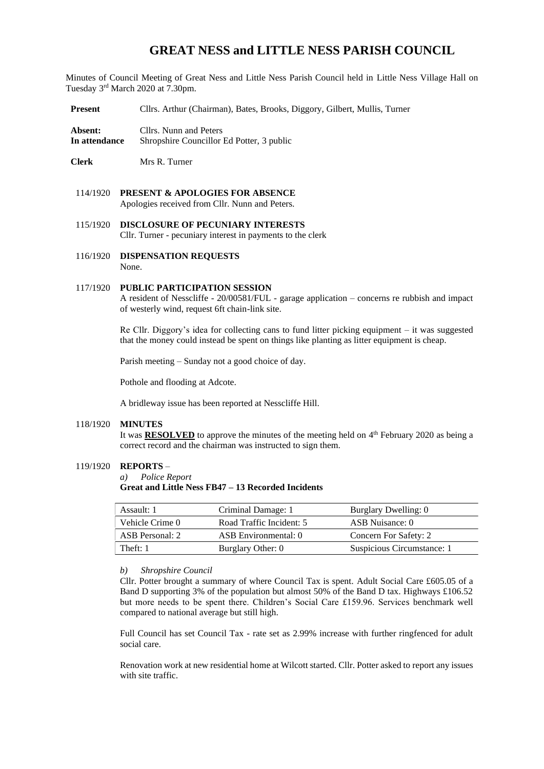# **GREAT NESS and LITTLE NESS PARISH COUNCIL**

Minutes of Council Meeting of Great Ness and Little Ness Parish Council held in Little Ness Village Hall on Tuesday 3<sup>rd</sup> March 2020 at 7.30pm.

**Present** Cllrs. Arthur (Chairman), Bates, Brooks, Diggory, Gilbert, Mullis, Turner

**Absent:** Cllrs. Nunn and Peters **In attendance** Shropshire Councillor Ed Potter, 3 public

**Clerk** Mrs R. Turner

- 114/1920 **PRESENT & APOLOGIES FOR ABSENCE**  Apologies received from Cllr. Nunn and Peters.
- 115/1920 **DISCLOSURE OF PECUNIARY INTERESTS** Cllr. Turner - pecuniary interest in payments to the clerk
- 116/1920 **DISPENSATION REQUESTS** None.

#### 117/1920 **PUBLIC PARTICIPATION SESSION**

A resident of Nesscliffe - 20/00581/FUL - garage application – concerns re rubbish and impact of westerly wind, request 6ft chain-link site.

Re Cllr. Diggory's idea for collecting cans to fund litter picking equipment – it was suggested that the money could instead be spent on things like planting as litter equipment is cheap.

Parish meeting – Sunday not a good choice of day.

Pothole and flooding at Adcote.

A bridleway issue has been reported at Nesscliffe Hill.

#### 118/1920 **MINUTES**

It was **RESOLVED** to approve the minutes of the meeting held on 4<sup>th</sup> February 2020 as being a correct record and the chairman was instructed to sign them.

#### 119/1920 **REPORTS** *–*

*a) Police Report* 

**Great and Little Ness FB47 – 13 Recorded Incidents** 

| Assault: 1      | Criminal Damage: 1       | Burglary Dwelling: 0       |
|-----------------|--------------------------|----------------------------|
| Vehicle Crime 0 | Road Traffic Incident: 5 | ASB Nuisance: 0            |
| ASB Personal: 2 | ASB Environmental: 0     | Concern For Safety: 2      |
| Theft: 1        | Burglary Other: 0        | Suspicious Circumstance: 1 |

*b) Shropshire Council* 

Cllr. Potter brought a summary of where Council Tax is spent. Adult Social Care £605.05 of a Band D supporting 3% of the population but almost 50% of the Band D tax. Highways £106.52 but more needs to be spent there. Children's Social Care £159.96. Services benchmark well compared to national average but still high.

Full Council has set Council Tax - rate set as 2.99% increase with further ringfenced for adult social care.

Renovation work at new residential home at Wilcott started. Cllr. Potter asked to report any issues with site traffic.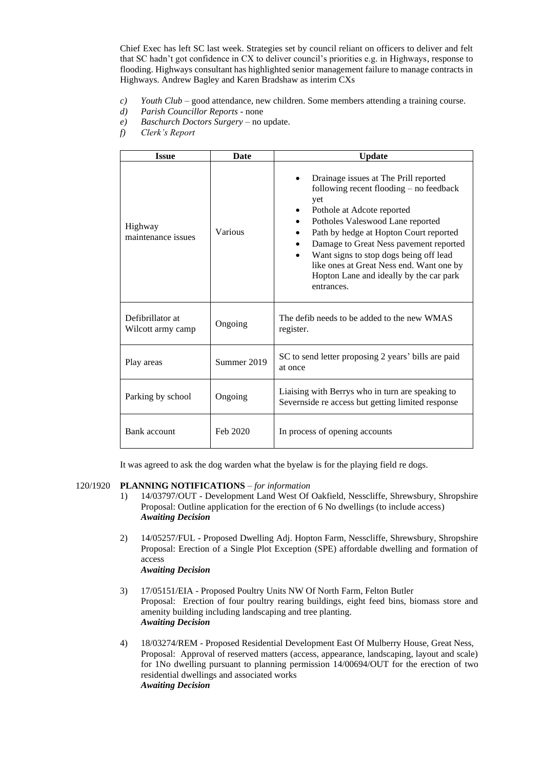Chief Exec has left SC last week. Strategies set by council reliant on officers to deliver and felt that SC hadn't got confidence in CX to deliver council's priorities e.g. in Highways, response to flooding. Highways consultant has highlighted senior management failure to manage contracts in Highways. Andrew Bagley and Karen Bradshaw as interim CXs

- *c) Youth Club* good attendance, new children. Some members attending a training course.
- *d) Parish Councillor Reports* none
- *e) Baschurch Doctors Surgery* no update.
- *f) Clerk's Report*

| <b>Issue</b>                          | <b>Date</b> | <b>Update</b>                                                                                                                                                                                                                                                                                                                                                                                  |  |  |
|---------------------------------------|-------------|------------------------------------------------------------------------------------------------------------------------------------------------------------------------------------------------------------------------------------------------------------------------------------------------------------------------------------------------------------------------------------------------|--|--|
| Highway<br>maintenance issues         | Various     | Drainage issues at The Prill reported<br>following recent flooding $-$ no feedback<br>yet<br>Pothole at Adcote reported<br>Potholes Valeswood Lane reported<br>Path by hedge at Hopton Court reported<br>Damage to Great Ness pavement reported<br>Want signs to stop dogs being off lead<br>like ones at Great Ness end. Want one by<br>Hopton Lane and ideally by the car park<br>entrances. |  |  |
| Defibrillator at<br>Wilcott army camp | Ongoing     | The defib needs to be added to the new WMAS<br>register.                                                                                                                                                                                                                                                                                                                                       |  |  |
| Play areas                            | Summer 2019 | SC to send letter proposing 2 years' bills are paid<br>at once                                                                                                                                                                                                                                                                                                                                 |  |  |
| Parking by school                     | Ongoing     | Liaising with Berrys who in turn are speaking to<br>Severnside re access but getting limited response                                                                                                                                                                                                                                                                                          |  |  |
| Bank account                          | Feb 2020    | In process of opening accounts                                                                                                                                                                                                                                                                                                                                                                 |  |  |

It was agreed to ask the dog warden what the byelaw is for the playing field re dogs.

#### 120/1920 **PLANNING NOTIFICATIONS** – *for information*

- 1) 14/03797/OUT Development Land West Of Oakfield, Nesscliffe, Shrewsbury, Shropshire Proposal: Outline application for the erection of 6 No dwellings (to include access) *Awaiting Decision*
- 2) 14/05257/FUL Proposed Dwelling Adj. Hopton Farm, Nesscliffe, Shrewsbury, Shropshire Proposal: Erection of a Single Plot Exception (SPE) affordable dwelling and formation of access *Awaiting Decision*
- 3) 17/05151/EIA Proposed Poultry Units NW Of North Farm, Felton Butler Proposal: Erection of four poultry rearing buildings, eight feed bins, biomass store and amenity building including landscaping and tree planting. *Awaiting Decision*
- 4) 18/03274/REM Proposed Residential Development East Of Mulberry House, Great Ness, Proposal: Approval of reserved matters (access, appearance, landscaping, layout and scale) for 1No dwelling pursuant to planning permission 14/00694/OUT for the erection of two residential dwellings and associated works *Awaiting Decision*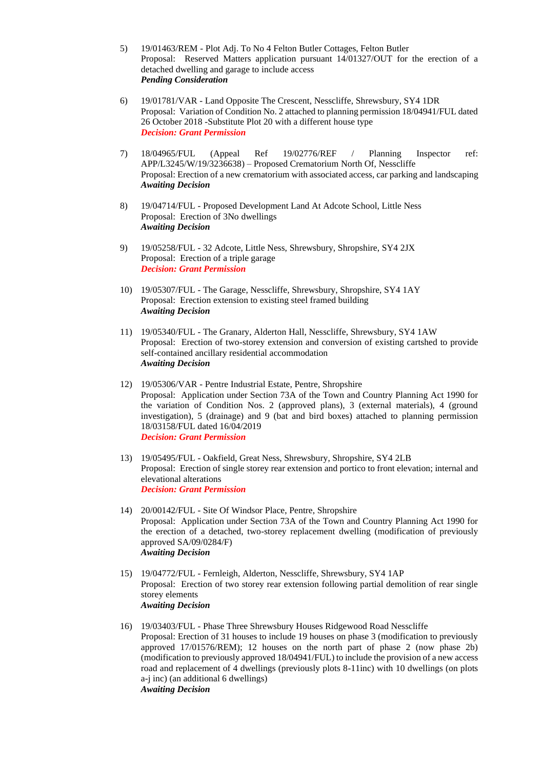- 5) 19/01463/REM Plot Adj. To No 4 Felton Butler Cottages, Felton Butler Proposal: Reserved Matters application pursuant 14/01327/OUT for the erection of a detached dwelling and garage to include access *Pending Consideration*
- 6) 19/01781/VAR Land Opposite The Crescent, Nesscliffe, Shrewsbury, SY4 1DR Proposal: Variation of Condition No. 2 attached to planning permission 18/04941/FUL dated 26 October 2018 -Substitute Plot 20 with a different house type *Decision: Grant Permission*
- 7) 18/04965/FUL (Appeal Ref 19/02776/REF / Planning Inspector ref: APP/L3245/W/19/3236638) – Proposed Crematorium North Of, Nesscliffe Proposal: Erection of a new crematorium with associated access, car parking and landscaping *Awaiting Decision*
- 8) 19/04714/FUL Proposed Development Land At Adcote School, Little Ness Proposal: Erection of 3No dwellings *Awaiting Decision*
- 9) 19/05258/FUL 32 Adcote, Little Ness, Shrewsbury, Shropshire, SY4 2JX Proposal: Erection of a triple garage *Decision: Grant Permission*
- 10) 19/05307/FUL The Garage, Nesscliffe, Shrewsbury, Shropshire, SY4 1AY Proposal: Erection extension to existing steel framed building *Awaiting Decision*
- 11) 19/05340/FUL The Granary, Alderton Hall, Nesscliffe, Shrewsbury, SY4 1AW Proposal: Erection of two-storey extension and conversion of existing cartshed to provide self-contained ancillary residential accommodation *Awaiting Decision*
- 12) 19/05306/VAR Pentre Industrial Estate, Pentre, Shropshire Proposal: Application under Section 73A of the Town and Country Planning Act 1990 for the variation of Condition Nos. 2 (approved plans), 3 (external materials), 4 (ground investigation), 5 (drainage) and 9 (bat and bird boxes) attached to planning permission 18/03158/FUL dated 16/04/2019 *Decision: Grant Permission*
- 13) 19/05495/FUL Oakfield, Great Ness, Shrewsbury, Shropshire, SY4 2LB Proposal: Erection of single storey rear extension and portico to front elevation; internal and elevational alterations *Decision: Grant Permission*
- 14) 20/00142/FUL Site Of Windsor Place, Pentre, Shropshire Proposal: Application under Section 73A of the Town and Country Planning Act 1990 for the erection of a detached, two-storey replacement dwelling (modification of previously approved SA/09/0284/F) *Awaiting Decision*
- 15) 19/04772/FUL Fernleigh, Alderton, Nesscliffe, Shrewsbury, SY4 1AP Proposal: Erection of two storey rear extension following partial demolition of rear single storey elements *Awaiting Decision*
- 16) 19/03403/FUL Phase Three Shrewsbury Houses Ridgewood Road Nesscliffe Proposal: Erection of 31 houses to include 19 houses on phase 3 (modification to previously approved 17/01576/REM); 12 houses on the north part of phase 2 (now phase 2b) (modification to previously approved 18/04941/FUL) to include the provision of a new access road and replacement of 4 dwellings (previously plots 8-11inc) with 10 dwellings (on plots a-j inc) (an additional 6 dwellings) *Awaiting Decision*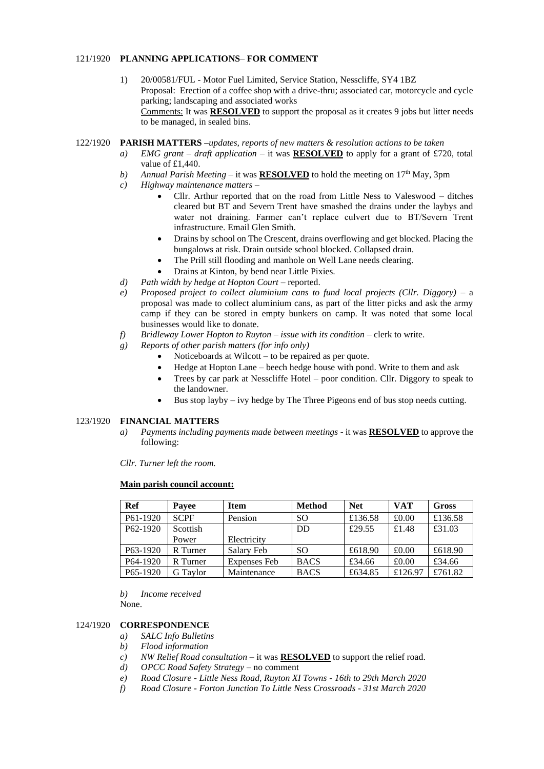## 121/1920 **PLANNING APPLICATIONS**– **FOR COMMENT**

1) 20/00581/FUL - Motor Fuel Limited, Service Station, Nesscliffe, SY4 1BZ Proposal: Erection of a coffee shop with a drive-thru; associated car, motorcycle and cycle parking; landscaping and associated works Comments: It was **RESOLVED** to support the proposal as it creates 9 jobs but litter needs to be managed, in sealed bins.

#### 122/1920 **PARISH MATTERS –***updates, reports of new matters & resolution actions to be taken*

- *a) EMG grant – draft application –* it was **RESOLVED** to apply for a grant of £720, total value of £1,440.
- *b*) *Annual Parish Meeting* it was **RESOLVED** to hold the meeting on 17<sup>th</sup> May, 3pm
- *c) Highway maintenance matters*
	- Cllr. Arthur reported that on the road from Little Ness to Valeswood ditches cleared but BT and Severn Trent have smashed the drains under the laybys and water not draining. Farmer can't replace culvert due to BT/Severn Trent infrastructure. Email Glen Smith.
	- Drains by school on The Crescent, drains overflowing and get blocked. Placing the bungalows at risk. Drain outside school blocked. Collapsed drain.
	- The Prill still flooding and manhole on Well Lane needs clearing.
	- Drains at Kinton, by bend near Little Pixies.
- *d) Path width by hedge at Hopton Court* reported.
- *e) Proposed project to collect aluminium cans to fund local projects (Cllr. Diggory)* a proposal was made to collect aluminium cans, as part of the litter picks and ask the army camp if they can be stored in empty bunkers on camp. It was noted that some local businesses would like to donate.
- *f) Bridleway Lower Hopton to Ruyton – issue with its condition* clerk to write.
- *g) Reports of other parish matters (for info only)*
	- Noticeboards at Wilcott  $-$  to be repaired as per quote.
	- Hedge at Hopton Lane beech hedge house with pond. Write to them and ask
	- Trees by car park at Nesscliffe Hotel poor condition. Cllr. Diggory to speak to the landowner.
	- Bus stop layby ivy hedge by The Three Pigeons end of bus stop needs cutting.

# 123/1920 **FINANCIAL MATTERS**

*a) Payments including payments made between meetings* - it was **RESOLVED** to approve the following:

*Cllr. Turner left the room.* 

## **Main parish council account:**

| Ref                   | Payee       | <b>Item</b>  | <b>Method</b> | <b>Net</b> | <b>VAT</b> | Gross   |
|-----------------------|-------------|--------------|---------------|------------|------------|---------|
| P61-1920              | <b>SCPF</b> | Pension      | <sub>SO</sub> | £136.58    | £0.00      | £136.58 |
| P62-1920              | Scottish    |              | DD            | £29.55     | £1.48      | £31.03  |
|                       | Power       | Electricity  |               |            |            |         |
| P <sub>63</sub> -1920 | R Turner    | Salary Feb   | <sub>SO</sub> | £618.90    | £0.00      | £618.90 |
| P64-1920              | R Turner    | Expenses Feb | <b>BACS</b>   | £34.66     | £0.00      | £34.66  |
| P65-1920              | G Taylor    | Maintenance  | <b>BACS</b>   | £634.85    | £126.97    | £761.82 |

*b) Income received* None.

# 124/1920 **CORRESPONDENCE**

- *a) SALC Info Bulletins*
- *b) Flood information*
- *c) NW Relief Road consultation* it was **RESOLVED** to support the relief road.
- *d) OPCC Road Safety Strategy* no comment
- *e) Road Closure - Little Ness Road, Ruyton XI Towns - 16th to 29th March 2020*
- *f) Road Closure - Forton Junction To Little Ness Crossroads - 31st March 2020*